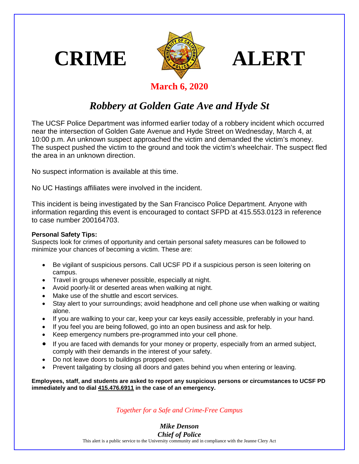





## **March 6, 2020**

## *Robbery at Golden Gate Ave and Hyde St*

The UCSF Police Department was informed earlier today of a robbery incident which occurred near the intersection of Golden Gate Avenue and Hyde Street on Wednesday, March 4, at 10:00 p.m. An unknown suspect approached the victim and demanded the victim's money. The suspect pushed the victim to the ground and took the victim's wheelchair. The suspect fled the area in an unknown direction.

No suspect information is available at this time.

No UC Hastings affiliates were involved in the incident.

This incident is being investigated by the San Francisco Police Department. Anyone with information regarding this event is encouraged to contact SFPD at 415.553.0123 in reference to case number 200164703.

## **Personal Safety Tips:**

Suspects look for crimes of opportunity and certain personal safety measures can be followed to minimize your chances of becoming a victim. These are:

- Be vigilant of suspicious persons. Call UCSF PD if a suspicious person is seen loitering on campus.
- Travel in groups whenever possible, especially at night.
- Avoid poorly-lit or deserted areas when walking at night.
- Make use of the shuttle and escort services.
- Stay alert to your surroundings; avoid headphone and cell phone use when walking or waiting alone.
- If you are walking to your car, keep your car keys easily accessible, preferably in your hand.
- If you feel you are being followed, go into an open business and ask for help.
- Keep emergency numbers pre-programmed into your cell phone.
- If you are faced with demands for your money or property, especially from an armed subject, comply with their demands in the interest of your safety.
- Do not leave doors to buildings propped open.
- Prevent tailgating by closing all doors and gates behind you when entering or leaving.

**Employees, staff, and students are asked to report any suspicious persons or circumstances to UCSF PD immediately and to dial 415.476.6911 in the case of an emergency.**

## *Together for a Safe and Crime-Free Campus*

*Mike Denson Chief of Police*

This alert is a public service to the University community and in compliance with the Jeanne Clery Act